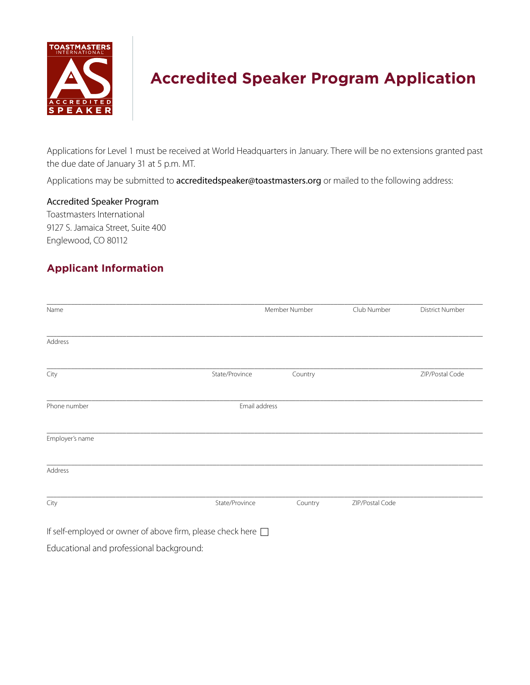

# **Accredited Speaker Program Application**

Applications for Level 1 must be received at World Headquarters in January. There will be no extensions granted past the due date of January 31 at 5 p.m. MT.

Applications may be submitted to [accreditedspeaker@toastmasters.org](mailto:accreditedspeaker%40toastmasters.org?subject=) or mailed to the following address:

Accredited Speaker Program

Toastmasters International 9127 S. Jamaica Street, Suite 400 Englewood, CO 80112

## **Applicant Information**

| Name                                     |                                                                   | Member Number |                 | <b>District Number</b> |
|------------------------------------------|-------------------------------------------------------------------|---------------|-----------------|------------------------|
| Address                                  |                                                                   |               |                 |                        |
|                                          |                                                                   |               |                 |                        |
| City                                     | State/Province                                                    | Country       |                 | ZIP/Postal Code        |
| Phone number                             |                                                                   | Email address |                 |                        |
| Employer's name                          |                                                                   |               |                 |                        |
| Address                                  |                                                                   |               |                 |                        |
| City                                     | State/Province                                                    | Country       | ZIP/Postal Code |                        |
|                                          | If self-employed or owner of above firm, please check here $\Box$ |               |                 |                        |
| Educational and professional background: |                                                                   |               |                 |                        |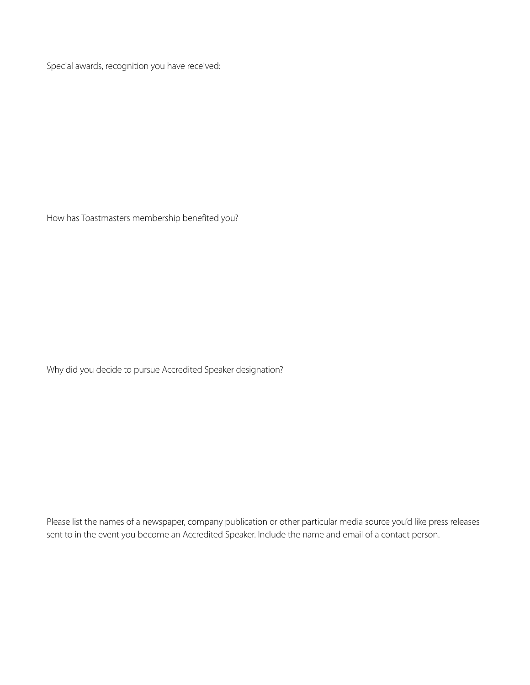Special awards, recognition you have received:

How has Toastmasters membership benefited you?

Why did you decide to pursue Accredited Speaker designation?

Please list the names of a newspaper, company publication or other particular media source you'd like press releases sent to in the event you become an Accredited Speaker. Include the name and email of a contact person.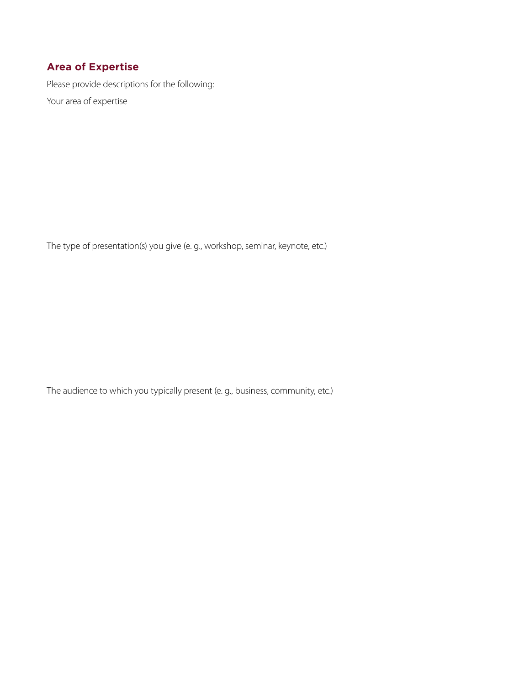### **Area of Expertise**

Please provide descriptions for the following: Your area of expertise

The type of presentation(s) you give (e. g., workshop, seminar, keynote, etc.)

The audience to which you typically present (e. g., business, community, etc.)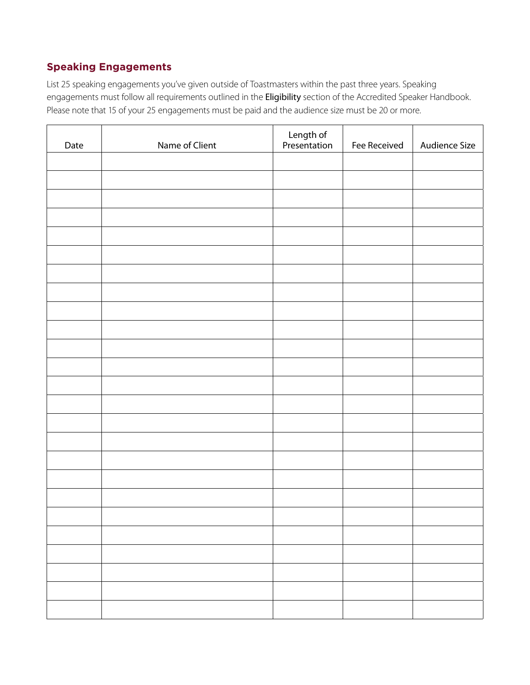## **Speaking Engagements**

List 25 speaking engagements you've given outside of Toastmasters within the past three years. Speaking engagements must follow all requirements outlined in the Eligibility [section of the Accredited Speaker Handbook](https://www.toastmasters.org/membership/accredited-speaker/become-an-accredited-speaker). Please note that 15 of your 25 engagements must be paid and the audience size must be 20 or more.

| Date | Name of Client | Length of<br>Presentation | Fee Received | Audience Size |
|------|----------------|---------------------------|--------------|---------------|
|      |                |                           |              |               |
|      |                |                           |              |               |
|      |                |                           |              |               |
|      |                |                           |              |               |
|      |                |                           |              |               |
|      |                |                           |              |               |
|      |                |                           |              |               |
|      |                |                           |              |               |
|      |                |                           |              |               |
|      |                |                           |              |               |
|      |                |                           |              |               |
|      |                |                           |              |               |
|      |                |                           |              |               |
|      |                |                           |              |               |
|      |                |                           |              |               |
|      |                |                           |              |               |
|      |                |                           |              |               |
|      |                |                           |              |               |
|      |                |                           |              |               |
|      |                |                           |              |               |
|      |                |                           |              |               |
|      |                |                           |              |               |
|      |                |                           |              |               |
|      |                |                           |              |               |
|      |                |                           |              |               |